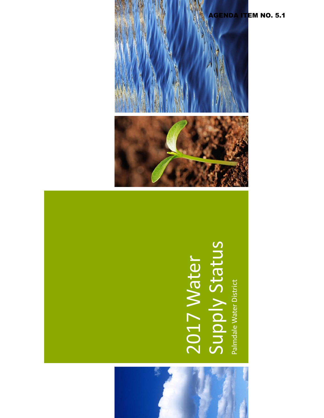

#### 2017 Water<br>Supply Status Supply Status 2017 Water Palmdale Water District

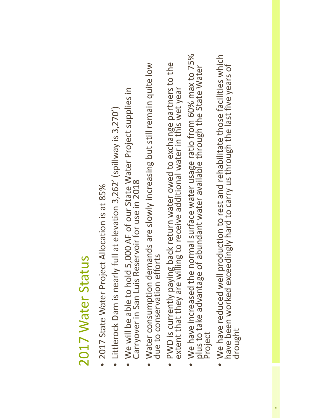### 2017 Water Status 2017 Water Status

- · 2017 State Water Project Allocation is at 85% 2017 State Water Project Allocation is at 85%
- Littlerock Dam is nearly full at elevation 3,262' (spillway is 3,270') Littlerock Dam is nearly full at elevation 3,262' (spillway is 3,270') •
- We will be able to hold 5,000 AF of our State Water Project supplies in<br>Carryover in San Luis Reservoir for use in 2018 We will be able to hold 5,000 AF of our State Water Project supplies in Carryover in San Luis Reservoir for use in 2018
- Water consumption demands are slowly increasing but still remain quite low Water consumption demands are slowly increasing but still remain quite low due to conservation efforts due to conservation efforts
- PWD is currently paying back return water owed to exchange partners to the<br>extent that they are willing to receive additional water in this wet year PWD is currently paying back return water owed to exchange partners to the extent that they are willing to receive additional water in this wet year •
- • We have increased the normal surface water usage ratio from 60% max to 75% plus to take advantage of abundant water available through the State Water Project
- We have reduced well production to rest and rehabilitate those facilities which<br>have been worked exceedingly hard to carry us through the last five years of • We have reduced well production to rest and rehabilitate those facilities which<br>have been worked exceedingly hard to carry us through the last five years of<br>drought drought •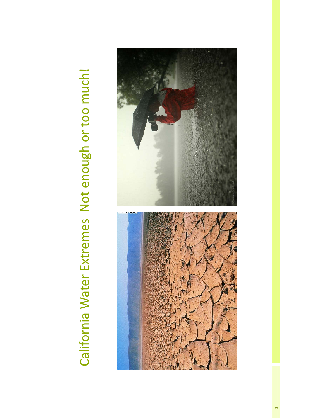# California Water Extremes Not enough or too much! California Water Extremes Not enough or too much!

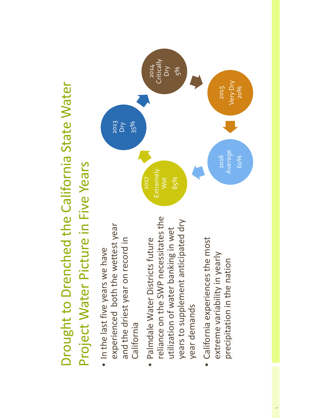

4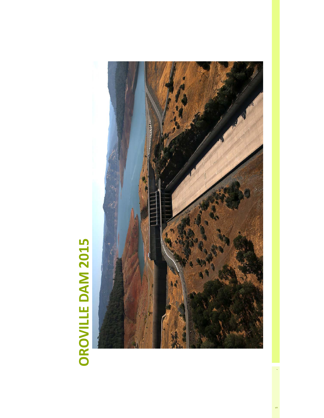## OROVILLE DAM 2015 **OROVILLE DAM 2015**

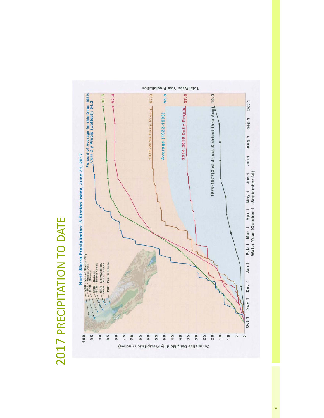

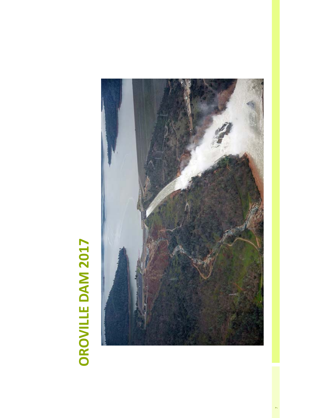## **OROVILLE DAM 2017 OROVILLE DAM 2017**

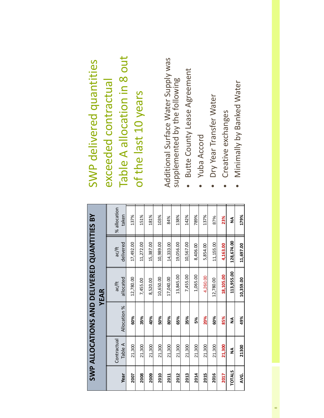|               |                        |              | SWP ALLOCATIONS AND DELIVERED QUANTITIES BY<br><b>YEAR</b> |                    |                       |
|---------------|------------------------|--------------|------------------------------------------------------------|--------------------|-----------------------|
| Year          | Contractual<br>Table A | Allocation % | allocated<br>ac/ft                                         | delivered<br>ac/ft | % allocation<br>taken |
| 2007          | 21,300                 | 60%          | 12,780.00                                                  | 17,492.00          | 137%                  |
| 2008          | 21,300                 | 35%          | 7,455.00                                                   | 11,272.00          | 151%                  |
| 2009          | 21,300                 | 40%          | 8,520.00                                                   | 15,387.00          | 181%                  |
| 2010          | 21,300                 | 50%          | 10,650.00                                                  | 10,989.00          | 103%                  |
| 2011          | 21,300                 | 80%          | 17,040.00                                                  | 14,333.00          | 84%                   |
| 2012          | 21,300                 | 65%          | 13,845.00                                                  | 19,056.00          | 138%                  |
| 2013          | 21,300                 | 35%          | 7,455.00                                                   | 10,567.00          | 142%                  |
| 2014          | 21,300                 | 5%           | 1,065.00                                                   | 8,406.00           | 789%                  |
| 2015          | 21,300                 | 20%          | 4,260.00                                                   | 5,854.00           | 137%                  |
| 2016          | 21,300                 | 60%          | 12,780.00                                                  | 11,155.00          | 87%                   |
| <b>2017</b>   | 21,300                 | 85%          | 18,105.00                                                  | 4,163.00           | 23%                   |
| <b>TOTALS</b> | ≸                      | ≸            | 113,955.00                                                 | 128,674.00         | ≨                     |
| AVG.          | 21300                  | 49%          | 10,359.00                                                  | 11,697.00          | 179%                  |
|               |                        |              |                                                            |                    |                       |

#### Table A allocation in 8 out Table A allocation in 8 out SWP delivered quantities SWP delivered quantities exceeded contractual exceeded contractual of the last 10 years of the last 10 years

Additional Surface Water Supply was<br>supplemented by the following Additional Surface Water Supply was supplemented by the following

- · Butte County Lease Agreement Butte County Lease Agreement
- **Yuba Accord** Yuba Accord

•

- Dry Year Transfer Water Dry Year Transfer Water •
- Creative exchanges Creative exchanges •
- Minimally by Banked Water Minimally by Banked Water •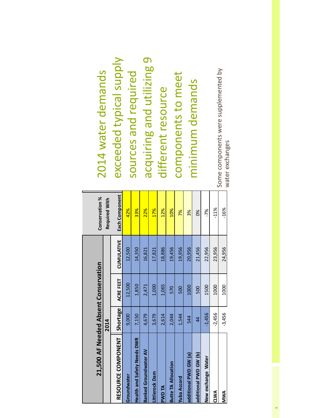| 21,500 AF Needed Absent Co   |                | onservation |                   | Conservation %       | 2014 water demands                   |
|------------------------------|----------------|-------------|-------------------|----------------------|--------------------------------------|
|                              | 2014           |             |                   | <b>Required With</b> |                                      |
| RESOURCE COMPONENT           | Shortage       | ACRE FEET   | <b>CUMULATIVE</b> | Each Component       | exceeded typical supply              |
| Groundwater                  | 9,000          | 12,500      | 12,500            | 42%                  |                                      |
| Health and Safety Needs DWR  | 7,150          | 1,850       | 14,350            | 33%                  | sources and required                 |
| <b>Banked Groundwater AV</b> | 4,679          | 2,471       | 16,821            | 22%                  | acquiring and utilizing 9            |
| Littlerock Dam               | 3,679          | 1,000       | 17,821            | 17%                  |                                      |
| <b>PWD TA</b>                | 2,614          | 1,065       | 18,886            | 12%                  | different resource                   |
| <b>Butte TA Allocation</b>   | 2,044          | 570         | 19,456            | 10%                  |                                      |
| <b>Yuba Accord</b>           | 1,544          | 500         | 19,956            | 7%                   | components to meet                   |
| additional PWD GW (a)        | 544            | 1000        | 20,956            | 3%                   |                                      |
| additional PWD GW (b)        | $\overline{4}$ | 500         | 21,456            | ಶಿಂ                  | minimum demands                      |
| New exchange Water           | $-1,456$       | 1500        | 22,956            | -7%                  |                                      |
| CLWA                         | $-2,456$       | 1000        | 23,956            | $-11%$               |                                      |
| MWA                          | $-3,456$       | 1000        | 24,956            | $-16%$               | Some components were supplemented by |
|                              |                |             |                   |                      | water exchanges                      |

**CLWA NWA**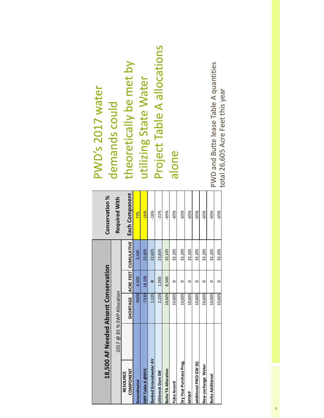|                                     | 18,500 AF Needed Absent Conservation |           |                      | <b>Conservation %</b> |
|-------------------------------------|--------------------------------------|-----------|----------------------|-----------------------|
|                                     | 2017 @ 85 % SWP Allocation           |           |                      | Required With         |
| <b>COMPONENT</b><br><b>RESOURCE</b> | SHORTAGE                             |           | ACRE FEET CUMULATIVE | Each Component        |
| Groundwater                         | -9000                                | 4,500     | 4,500                | 77%                   |
| SWP Table A @85%                    | $-7330$                              | 18,105    | 22,605               | $-16%$                |
| Banked Groundwater AV               | 1,105                                | $\bullet$ | 22,605               | $-16%$                |
| Littlerock Dam SW                   | 2,105                                | 1,000     | 23,605               | $-21%$                |
| <b>Butte TA Allocation</b>          | 10,605                               | 8,500     | 32,105               | $-65%$                |
| Yuba Accord                         | 10,605                               | $\circ$   | 32,105               | $-65%$                |
| Dry Year Purchase Prog.             | 10,605                               | $\circ$   | 32,105               | $-65%$                |
| <b>MYWP</b>                         | 10,605                               | 0         | 32,105               | $-65%$                |
| additional PVVD GW (b)              | 10,605                               | 0         | 32,105               | $-65%$                |
| New exchange Water                  | 10,605                               | 0         | 32,105               | $-65%$                |
| <b>Butte Additional</b>             | 10,605                               | 0         | 32,105               | $-65%$                |
|                                     | 10,605                               | 0         | 32,105               | $-65%$                |

Project Table A allocations Project Table A allocations demands could<br>theoretically be met by theoretically be met by utilizing State Water utilizing State Water PWD's 2017 water PWD's 2017 water demands could alone

VD and Butte lease Table A quantities PWD and Butte lease Table A quantities total 26,605 Acre Feet this year total 26,605 Acre Feet this year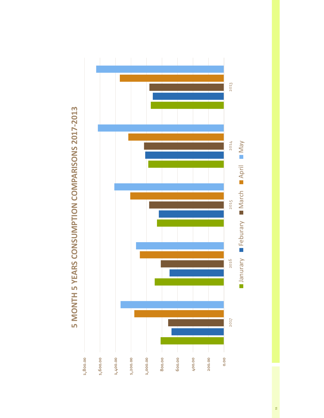

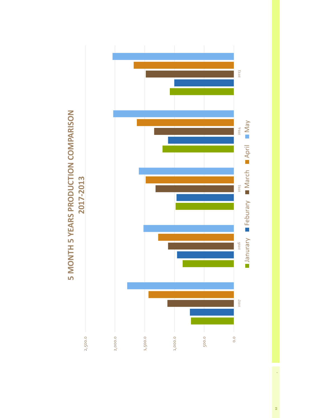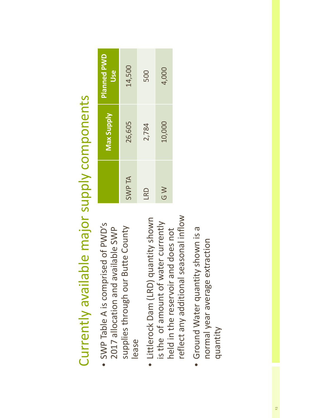Currently available major supply components Currently available major supply components

- SWP Table A is comprised of PWD's SWP Table A is comprised of PWD's supplies through our Butte County 2017 allocation and available SWP supplies through our Butte County 2017 allocation and available SWP lease
- reflect any additional seasonal inflow reflect any additional seasonal inflow • Littlerock Dam (LRD) quantity shown Littlerock Dam (LRD) quantity shown is the of amount of water currently is the of amount of water currently held in the reservoir and does not held in the reservoir and does not

| $\bullet$ | Ground Water quantity shown is a |
|-----------|----------------------------------|
|           | normal year average extraction   |
|           | quantity                         |

|               | Max Supply | <b>Planned PWD</b><br>Use |
|---------------|------------|---------------------------|
| <b>SWP TA</b> | 26,605     | 14,500                    |
| LRD           | 2,784      | 500                       |
| <b>S</b> W    | 10,000     | 4,000                     |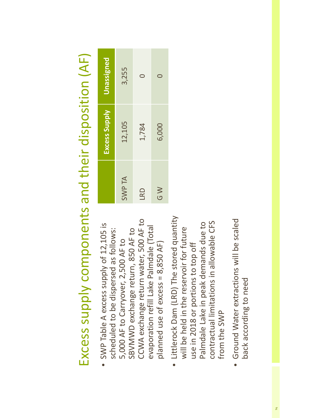Excess supply components and their disposition (AF) Excess supply components and their disposition (AF)

- CCWA exchange return water, 500 AF to CCWA exchange return water, 500 AF to SWP Table A excess supply of 12,105 is SWP Table A excess supply of 12,105 is evaporation refill Lake Palmdale (Total evaporation refill Lake Palmdale (Total SBVMWD exchange return, 850 AF to scheduled to be dispersed as follows: scheduled to be dispersed as follows: SBVMWD exchange return, 850 AF to 5,000 AF to Carryover, 2,500 AF to planned use of excess = 8,850 AF) 5,000 AF to Carryover, 2,500 AF to planned use of excess = 8,850 AF) •
- Littlerock Dam (LRD) The stored quantity Littlerock Dam (LRD) The stored quantity contractual limitations in allowable CFS Palmdale Lake in peak demands due to contractual limitations in allowable CFS Palmdale Lake in peak demands due to will be held in the reservoir for future will be held in the reservoir for future use in 2018 or portions to top off use in 2018 or portions to top off from the SWP from the SWP
- Ground Water extractions will be scaled Ground Water extractions will be scaled back according to need back according to need

|              | Excess Supply | Unassigned |
|--------------|---------------|------------|
| <b>SWPTA</b> | 12,105        | 3,255      |
| LRD          | 1,784         | $\subset$  |
| S<br>D       | 6,000         | $\subset$  |